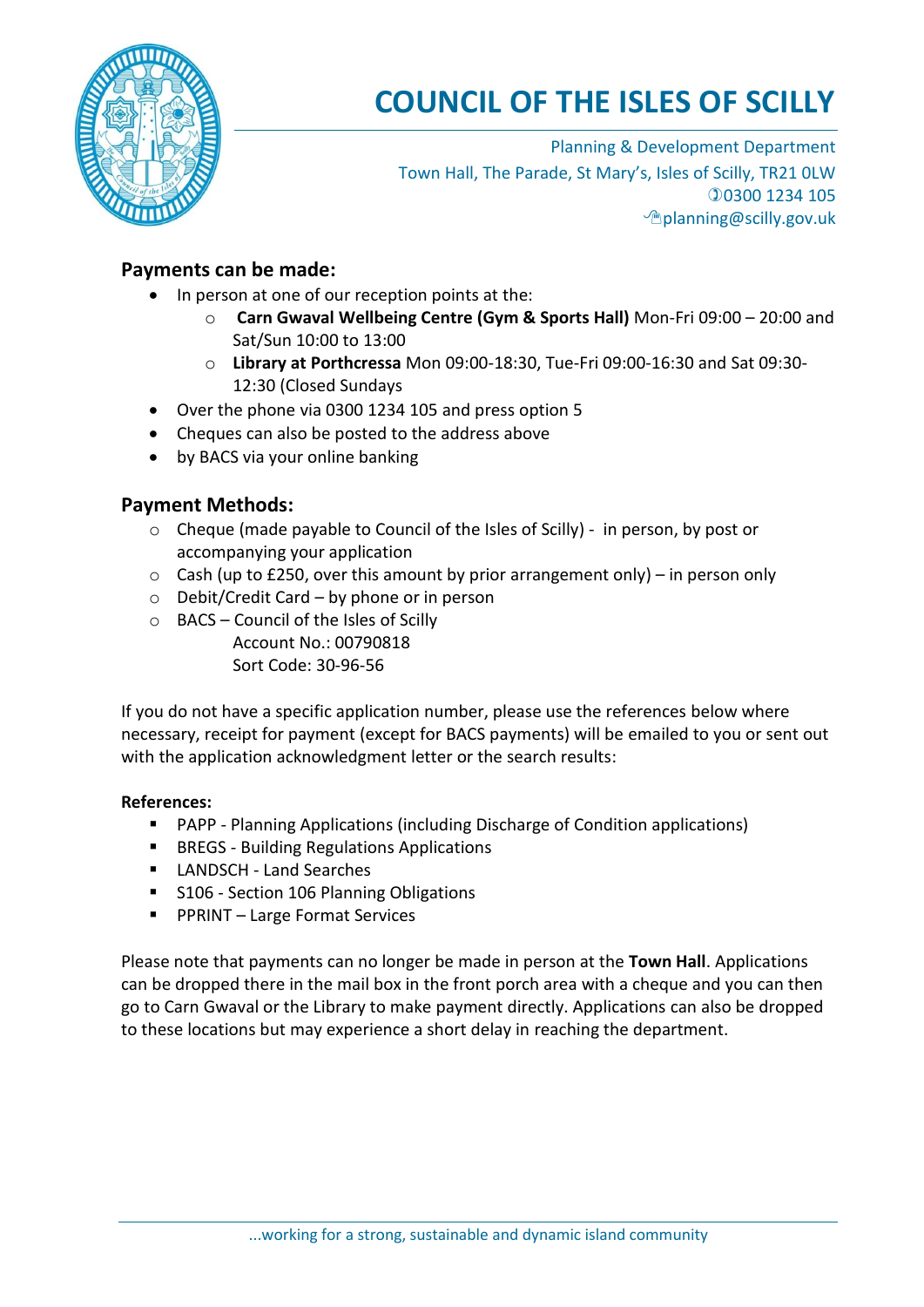

## **COUNCIL OF THE ISLES OF SCILLY**

Planning & Development Department Town Hall, The Parade, St Mary's, Isles of Scilly, TR21 0LW 0300 1234 105 planning@scilly.gov.uk

## **Payments can be made:**

- In person at one of our reception points at the:
	- o **Carn Gwaval Wellbeing Centre (Gym & Sports Hall)** Mon-Fri 09:00 20:00 and Sat/Sun 10:00 to 13:00
	- o **Library at Porthcressa** Mon 09:00-18:30, Tue-Fri 09:00-16:30 and Sat 09:30- 12:30 (Closed Sundays
- Over the phone via 0300 1234 105 and press option 5
- Cheques can also be posted to the address above
- by BACS via your online banking

## **Payment Methods:**

- o Cheque (made payable to Council of the Isles of Scilly) in person, by post or accompanying your application
- $\circ$  Cash (up to £250, over this amount by prior arrangement only) in person only
- $\circ$  Debit/Credit Card by phone or in person
- o BACS Council of the Isles of Scilly Account No.: 00790818 Sort Code: 30-96-56

If you do not have a specific application number, please use the references below where necessary, receipt for payment (except for BACS payments) will be emailed to you or sent out with the application acknowledgment letter or the search results:

## **References:**

- PAPP Planning Applications (including Discharge of Condition applications)
- **BREGS Building Regulations Applications**
- **LANDSCH Land Searches**
- **S106 Section 106 Planning Obligations**
- PPRINT Large Format Services

Please note that payments can no longer be made in person at the **Town Hall**. Applications can be dropped there in the mail box in the front porch area with a cheque and you can then go to Carn Gwaval or the Library to make payment directly. Applications can also be dropped to these locations but may experience a short delay in reaching the department.